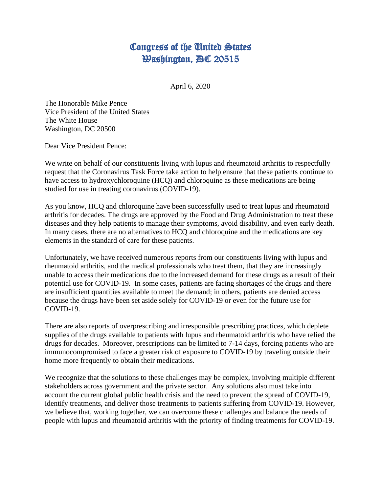## Congress of the United States **Washington, DC 20515**

April 6, 2020

The Honorable Mike Pence Vice President of the United States The White House Washington, DC 20500

Dear Vice President Pence:

We write on behalf of our constituents living with lupus and rheumatoid arthritis to respectfully request that the Coronavirus Task Force take action to help ensure that these patients continue to have access to hydroxychloroquine (HCQ) and chloroquine as these medications are being studied for use in treating coronavirus (COVID-19).

As you know, HCQ and chloroquine have been successfully used to treat lupus and rheumatoid arthritis for decades. The drugs are approved by the Food and Drug Administration to treat these diseases and they help patients to manage their symptoms, avoid disability, and even early death. In many cases, there are no alternatives to HCQ and chloroquine and the medications are key elements in the standard of care for these patients.

Unfortunately, we have received numerous reports from our constituents living with lupus and rheumatoid arthritis, and the medical professionals who treat them, that they are increasingly unable to access their medications due to the increased demand for these drugs as a result of their potential use for COVID-19. In some cases, patients are facing shortages of the drugs and there are insufficient quantities available to meet the demand; in others, patients are denied access because the drugs have been set aside solely for COVID-19 or even for the future use for COVID-19.

There are also reports of overprescribing and irresponsible prescribing practices, which deplete supplies of the drugs available to patients with lupus and rheumatoid arthritis who have relied the drugs for decades. Moreover, prescriptions can be limited to 7-14 days, forcing patients who are immunocompromised to face a greater risk of exposure to COVID-19 by traveling outside their home more frequently to obtain their medications.

We recognize that the solutions to these challenges may be complex, involving multiple different stakeholders across government and the private sector. Any solutions also must take into account the current global public health crisis and the need to prevent the spread of COVID-19, identify treatments, and deliver those treatments to patients suffering from COVID-19. However, we believe that, working together, we can overcome these challenges and balance the needs of people with lupus and rheumatoid arthritis with the priority of finding treatments for COVID-19.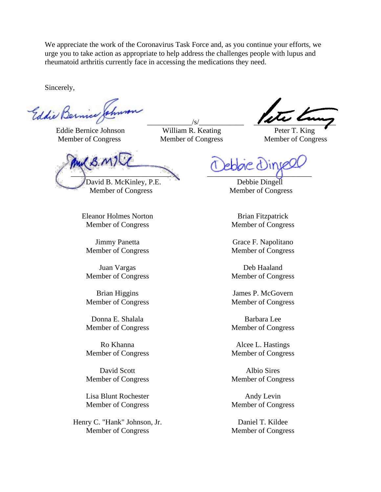We appreciate the work of the Coronavirus Task Force and, as you continue your efforts, we urge you to take action as appropriate to help address the challenges people with lupus and rheumatoid arthritis currently face in accessing the medications they need.

Sincerely,

 Eddie Bernice Johnson William R. Keating Peter T. King Member of Congress Member of Congress Member of Congress

 $\overline{\mathcal{S}}$  ,  $\overline{\mathcal{S}}$  ,  $\overline{\mathcal{S}}$  ,  $\overline{\mathcal{S}}$  ,  $\overline{\mathcal{S}}$  ,  $\overline{\mathcal{S}}$  ,  $\overline{\mathcal{S}}$  ,  $\overline{\mathcal{S}}$ 

My B.MT  $\sqrt{2}$  ,  $\sqrt{2}$  ,  $\sqrt{2}$  ,  $\sqrt{2}$  ,  $\sqrt{2}$ David B. McKinley, P.E. Debbie Dingell

Member of Congress Member of Congress

Eleanor Holmes Norton Member of Congress

Jimmy Panetta Member of Congress

Juan Vargas Member of Congress

Brian Higgins Member of Congress

Donna E. Shalala Member of Congress

Ro Khanna Member of Congress

David Scott Member of Congress

Lisa Blunt Rochester Member of Congress

Henry C. "Hank" Johnson, Jr. Member of Congress

Brian Fitzpatrick Member of Congress

Grace F. Napolitano Member of Congress

Deb Haaland Member of Congress

James P. McGovern Member of Congress

Barbara Lee Member of Congress

Alcee L. Hastings Member of Congress

Albio Sires Member of Congress

Andy Levin Member of Congress

Daniel T. Kildee Member of Congress